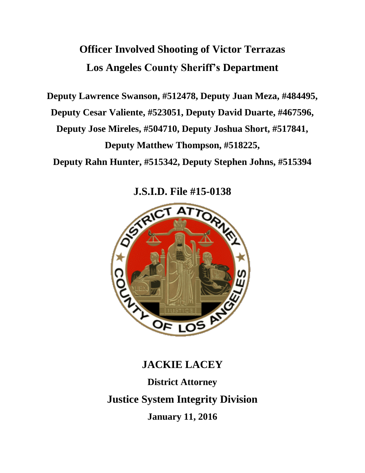# **Officer Involved Shooting of Victor Terrazas Los Angeles County Sheriff's Department**

**Deputy Lawrence Swanson, #512478, Deputy Juan Meza, #484495,**

**Deputy Cesar Valiente, #523051, Deputy David Duarte, #467596,** 

**Deputy Jose Mireles, #504710, Deputy Joshua Short, #517841,** 

**Deputy Matthew Thompson, #518225,** 

**Deputy Rahn Hunter, #515342, Deputy Stephen Johns, #515394**

**J.S.I.D. File #15-0138**



# **JACKIE LACEY**

**District Attorney Justice System Integrity Division January 11, 2016**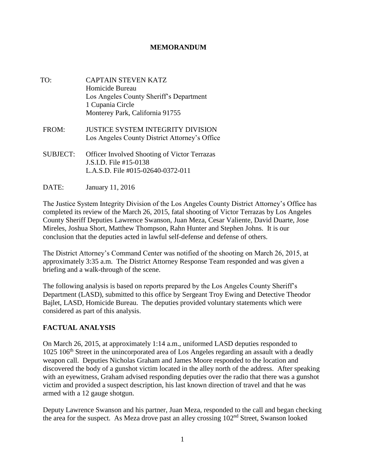#### **MEMORANDUM**

- TO: CAPTAIN STEVEN KATZ Homicide Bureau Los Angeles County Sheriff's Department 1 Cupania Circle Monterey Park, California 91755
- FROM: JUSTICE SYSTEM INTEGRITY DIVISION Los Angeles County District Attorney's Office
- SUBJECT: Officer Involved Shooting of Victor Terrazas J.S.I.D. File #15-0138 L.A.S.D. File #015-02640-0372-011
- DATE: January 11, 2016

The Justice System Integrity Division of the Los Angeles County District Attorney's Office has completed its review of the March 26, 2015, fatal shooting of Victor Terrazas by Los Angeles County Sheriff Deputies Lawrence Swanson, Juan Meza, Cesar Valiente, David Duarte, Jose Mireles, Joshua Short, Matthew Thompson, Rahn Hunter and Stephen Johns. It is our conclusion that the deputies acted in lawful self-defense and defense of others.

The District Attorney's Command Center was notified of the shooting on March 26, 2015, at approximately 3:35 a.m. The District Attorney Response Team responded and was given a briefing and a walk-through of the scene.

The following analysis is based on reports prepared by the Los Angeles County Sheriff's Department (LASD), submitted to this office by Sergeant Troy Ewing and Detective Theodor Bajlet, LASD, Homicide Bureau. The deputies provided voluntary statements which were considered as part of this analysis.

## **FACTUAL ANALYSIS**

On March 26, 2015, at approximately 1:14 a.m., uniformed LASD deputies responded to 1025 106<sup>th</sup> Street in the unincorporated area of Los Angeles regarding an assault with a deadly weapon call. Deputies Nicholas Graham and James Moore responded to the location and discovered the body of a gunshot victim located in the alley north of the address. After speaking with an eyewitness, Graham advised responding deputies over the radio that there was a gunshot victim and provided a suspect description, his last known direction of travel and that he was armed with a 12 gauge shotgun.

Deputy Lawrence Swanson and his partner, Juan Meza, responded to the call and began checking the area for the suspect. As Meza drove past an alley crossing 102nd Street, Swanson looked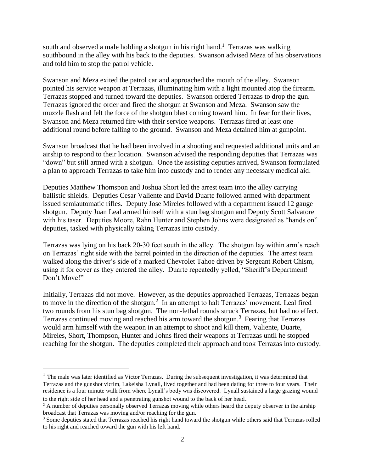south and observed a male holding a shotgun in his right hand.<sup>1</sup> Terrazas was walking southbound in the alley with his back to the deputies. Swanson advised Meza of his observations and told him to stop the patrol vehicle.

Swanson and Meza exited the patrol car and approached the mouth of the alley. Swanson pointed his service weapon at Terrazas, illuminating him with a light mounted atop the firearm. Terrazas stopped and turned toward the deputies. Swanson ordered Terrazas to drop the gun. Terrazas ignored the order and fired the shotgun at Swanson and Meza. Swanson saw the muzzle flash and felt the force of the shotgun blast coming toward him. In fear for their lives, Swanson and Meza returned fire with their service weapons. Terrazas fired at least one additional round before falling to the ground. Swanson and Meza detained him at gunpoint.

Swanson broadcast that he had been involved in a shooting and requested additional units and an airship to respond to their location. Swanson advised the responding deputies that Terrazas was "down" but still armed with a shotgun. Once the assisting deputies arrived, Swanson formulated a plan to approach Terrazas to take him into custody and to render any necessary medical aid.

Deputies Matthew Thomspon and Joshua Short led the arrest team into the alley carrying ballistic shields. Deputies Cesar Valiente and David Duarte followed armed with department issued semiautomatic rifles. Deputy Jose Mireles followed with a department issued 12 gauge shotgun. Deputy Juan Leal armed himself with a stun bag shotgun and Deputy Scott Salvatore with his taser. Deputies Moore, Rahn Hunter and Stephen Johns were designated as "hands on" deputies, tasked with physically taking Terrazas into custody.

Terrazas was lying on his back 20-30 feet south in the alley. The shotgun lay within arm's reach on Terrazas' right side with the barrel pointed in the direction of the deputies. The arrest team walked along the driver's side of a marked Chevrolet Tahoe driven by Sergeant Robert Chism, using it for cover as they entered the alley. Duarte repeatedly yelled, "Sheriff's Department! Don't Move!"

Initially, Terrazas did not move. However, as the deputies approached Terrazas, Terrazas began to move in the direction of the shotgun.<sup>2</sup> In an attempt to halt Terrazas' movement, Leal fired two rounds from his stun bag shotgun. The non-lethal rounds struck Terrazas, but had no effect. Terrazas continued moving and reached his arm toward the shotgun. 3 Fearing that Terrazas would arm himself with the weapon in an attempt to shoot and kill them, Valiente, Duarte, Mireles, Short, Thompson, Hunter and Johns fired their weapons at Terrazas until he stopped reaching for the shotgun. The deputies completed their approach and took Terrazas into custody.

 $\overline{a}$ 

 $<sup>1</sup>$  The male was later identified as Victor Terrazas. During the subsequent investigation, it was determined that</sup> Terrazas and the gunshot victim, Lakeisha Lynall, lived together and had been dating for three to four years. Their residence is a four minute walk from where Lynall's body was discovered. Lynall sustained a large grazing wound to the right side of her head and a penetrating gunshot wound to the back of her head.

 $<sup>2</sup>$  A number of deputies personally observed Terrazas moving while others heard the deputy observer in the airship</sup> broadcast that Terrazas was moving and/or reaching for the gun.

<sup>&</sup>lt;sup>3</sup> Some deputies stated that Terrazas reached his right hand toward the shotgun while others said that Terrazas rolled to his right and reached toward the gun with his left hand.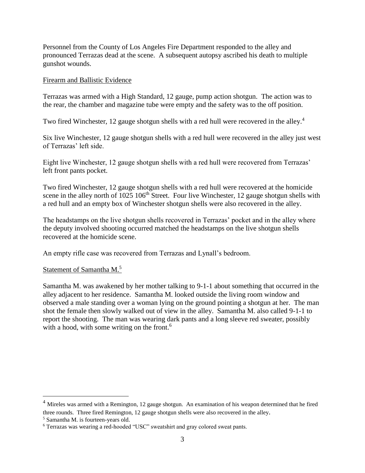Personnel from the County of Los Angeles Fire Department responded to the alley and pronounced Terrazas dead at the scene. A subsequent autopsy ascribed his death to multiple gunshot wounds.

#### Firearm and Ballistic Evidence

Terrazas was armed with a High Standard, 12 gauge, pump action shotgun. The action was to the rear, the chamber and magazine tube were empty and the safety was to the off position.

Two fired Winchester, 12 gauge shotgun shells with a red hull were recovered in the alley.<sup>4</sup>

Six live Winchester, 12 gauge shotgun shells with a red hull were recovered in the alley just west of Terrazas' left side.

Eight live Winchester, 12 gauge shotgun shells with a red hull were recovered from Terrazas' left front pants pocket.

Two fired Winchester, 12 gauge shotgun shells with a red hull were recovered at the homicide scene in the alley north of  $1025 106<sup>th</sup>$  Street. Four live Winchester, 12 gauge shotgun shells with a red hull and an empty box of Winchester shotgun shells were also recovered in the alley.

The headstamps on the live shotgun shells recovered in Terrazas' pocket and in the alley where the deputy involved shooting occurred matched the headstamps on the live shotgun shells recovered at the homicide scene.

An empty rifle case was recovered from Terrazas and Lynall's bedroom.

#### Statement of Samantha M.<sup>5</sup>

Samantha M. was awakened by her mother talking to 9-1-1 about something that occurred in the alley adjacent to her residence. Samantha M. looked outside the living room window and observed a male standing over a woman lying on the ground pointing a shotgun at her. The man shot the female then slowly walked out of view in the alley. Samantha M. also called 9-1-1 to report the shooting. The man was wearing dark pants and a long sleeve red sweater, possibly with a hood, with some writing on the front.<sup>6</sup>

 $\overline{a}$ 

<sup>&</sup>lt;sup>4</sup> Mireles was armed with a Remington, 12 gauge shotgun. An examination of his weapon determined that he fired three rounds. Three fired Remington, 12 gauge shotgun shells were also recovered in the alley.

<sup>5</sup> Samantha M. is fourteen-years old.

<sup>6</sup> Terrazas was wearing a red-hooded "USC" sweatshirt and gray colored sweat pants.